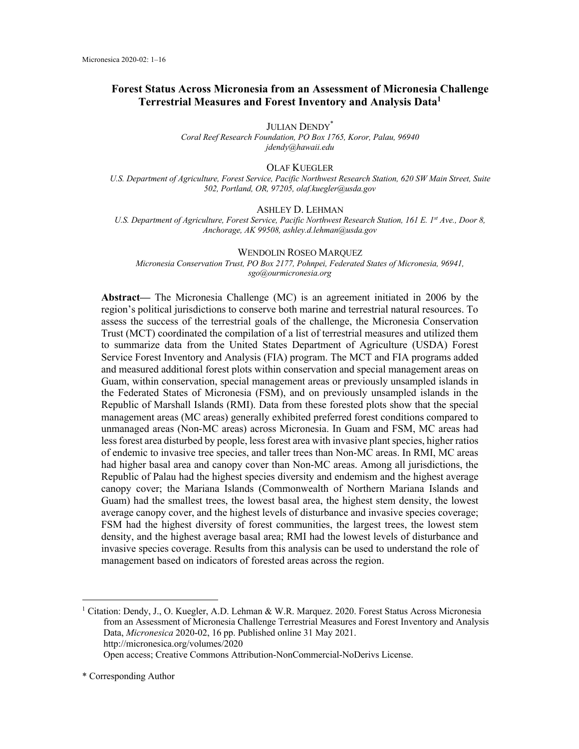# **Forest Status Across Micronesia from an Assessment of Micronesia Challenge Terrestrial Measures and Forest Inventory and Analysis Data1**

JULIAN DENDY\* *Coral Reef Research Foundation, PO Box 1765, Koror, Palau, 96940 jdendy@hawaii.edu*

OLAF KUEGLER

*U.S. Department of Agriculture, Forest Service, Pacific Northwest Research Station, 620 SW Main Street, Suite 502, Portland, OR, 97205, olaf.kuegler@usda.gov*

ASHLEY D. LEHMAN

U.S. Department of Agriculture, Forest Service, Pacific Northwest Research Station, 161 E. 1<sup>st</sup> Ave., Door 8, *Anchorage, AK 99508, ashley.d.lehman@usda.gov*

WENDOLIN ROSEO MARQUEZ *Micronesia Conservation Trust, PO Box 2177, Pohnpei, Federated States of Micronesia, 96941, sgo@ourmicronesia.org*

**Abstract—** The Micronesia Challenge (MC) is an agreement initiated in 2006 by the region's political jurisdictions to conserve both marine and terrestrial natural resources. To assess the success of the terrestrial goals of the challenge, the Micronesia Conservation Trust (MCT) coordinated the compilation of a list of terrestrial measures and utilized them to summarize data from the United States Department of Agriculture (USDA) Forest Service Forest Inventory and Analysis (FIA) program. The MCT and FIA programs added and measured additional forest plots within conservation and special management areas on Guam, within conservation, special management areas or previously unsampled islands in the Federated States of Micronesia (FSM), and on previously unsampled islands in the Republic of Marshall Islands (RMI). Data from these forested plots show that the special management areas (MC areas) generally exhibited preferred forest conditions compared to unmanaged areas (Non-MC areas) across Micronesia. In Guam and FSM, MC areas had less forest area disturbed by people, less forest area with invasive plant species, higher ratios of endemic to invasive tree species, and taller trees than Non-MC areas. In RMI, MC areas had higher basal area and canopy cover than Non-MC areas. Among all jurisdictions, the Republic of Palau had the highest species diversity and endemism and the highest average canopy cover; the Mariana Islands (Commonwealth of Northern Mariana Islands and Guam) had the smallest trees, the lowest basal area, the highest stem density, the lowest average canopy cover, and the highest levels of disturbance and invasive species coverage; FSM had the highest diversity of forest communities, the largest trees, the lowest stem density, and the highest average basal area; RMI had the lowest levels of disturbance and invasive species coverage. Results from this analysis can be used to understand the role of management based on indicators of forested areas across the region.

<sup>1</sup> Citation: Dendy, J., O. Kuegler, A.D. Lehman & W.R. Marquez. 2020. Forest Status Across Micronesia from an Assessment of Micronesia Challenge Terrestrial Measures and Forest Inventory and Analysis Data, *Micronesica* 2020-02, 16 pp. Published online 31 May 2021. http://micronesica.org/volumes/2020 Open access; Creative Commons Attribution-NonCommercial-NoDerivs License.

<sup>\*</sup> Corresponding Author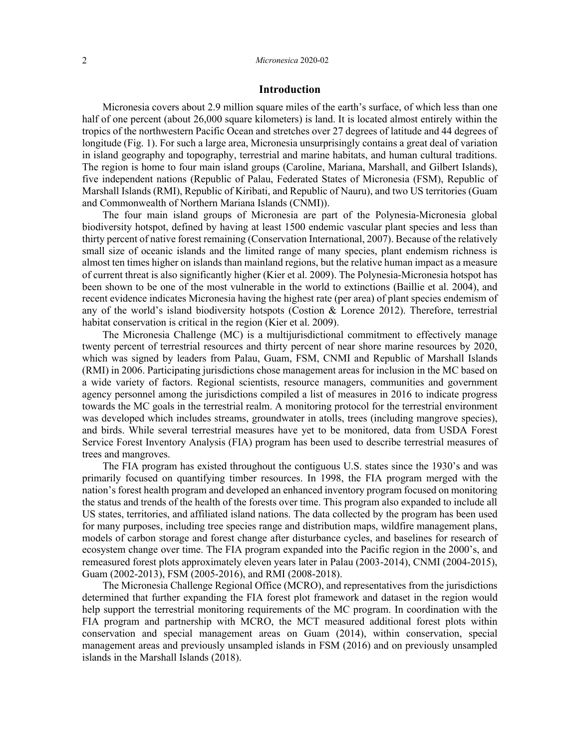# **Introduction**

Micronesia covers about 2.9 million square miles of the earth's surface, of which less than one half of one percent (about 26,000 square kilometers) is land. It is located almost entirely within the tropics of the northwestern Pacific Ocean and stretches over 27 degrees of latitude and 44 degrees of longitude (Fig. 1). For such a large area, Micronesia unsurprisingly contains a great deal of variation in island geography and topography, terrestrial and marine habitats, and human cultural traditions. The region is home to four main island groups (Caroline, Mariana, Marshall, and Gilbert Islands), five independent nations (Republic of Palau, Federated States of Micronesia (FSM), Republic of Marshall Islands (RMI), Republic of Kiribati, and Republic of Nauru), and two US territories (Guam and Commonwealth of Northern Mariana Islands (CNMI)).

The four main island groups of Micronesia are part of the Polynesia-Micronesia global biodiversity hotspot, defined by having at least 1500 endemic vascular plant species and less than thirty percent of native forest remaining (Conservation International, 2007). Because of the relatively small size of oceanic islands and the limited range of many species, plant endemism richness is almost ten times higher on islands than mainland regions, but the relative human impact as a measure of current threat is also significantly higher (Kier et al. 2009). The Polynesia-Micronesia hotspot has been shown to be one of the most vulnerable in the world to extinctions (Baillie et al. 2004), and recent evidence indicates Micronesia having the highest rate (per area) of plant species endemism of any of the world's island biodiversity hotspots (Costion & Lorence 2012). Therefore, terrestrial habitat conservation is critical in the region (Kier et al. 2009).

The Micronesia Challenge (MC) is a multijurisdictional commitment to effectively manage twenty percent of terrestrial resources and thirty percent of near shore marine resources by 2020, which was signed by leaders from Palau, Guam, FSM, CNMI and Republic of Marshall Islands (RMI) in 2006. Participating jurisdictions chose management areas for inclusion in the MC based on a wide variety of factors. Regional scientists, resource managers, communities and government agency personnel among the jurisdictions compiled a list of measures in 2016 to indicate progress towards the MC goals in the terrestrial realm. A monitoring protocol for the terrestrial environment was developed which includes streams, groundwater in atolls, trees (including mangrove species), and birds. While several terrestrial measures have yet to be monitored, data from USDA Forest Service Forest Inventory Analysis (FIA) program has been used to describe terrestrial measures of trees and mangroves.

The FIA program has existed throughout the contiguous U.S. states since the 1930's and was primarily focused on quantifying timber resources. In 1998, the FIA program merged with the nation's forest health program and developed an enhanced inventory program focused on monitoring the status and trends of the health of the forests over time. This program also expanded to include all US states, territories, and affiliated island nations. The data collected by the program has been used for many purposes, including tree species range and distribution maps, wildfire management plans, models of carbon storage and forest change after disturbance cycles, and baselines for research of ecosystem change over time. The FIA program expanded into the Pacific region in the 2000's, and remeasured forest plots approximately eleven years later in Palau (2003-2014), CNMI (2004-2015), Guam (2002-2013), FSM (2005-2016), and RMI (2008-2018).

The Micronesia Challenge Regional Office (MCRO), and representatives from the jurisdictions determined that further expanding the FIA forest plot framework and dataset in the region would help support the terrestrial monitoring requirements of the MC program. In coordination with the FIA program and partnership with MCRO, the MCT measured additional forest plots within conservation and special management areas on Guam (2014), within conservation, special management areas and previously unsampled islands in FSM (2016) and on previously unsampled islands in the Marshall Islands (2018).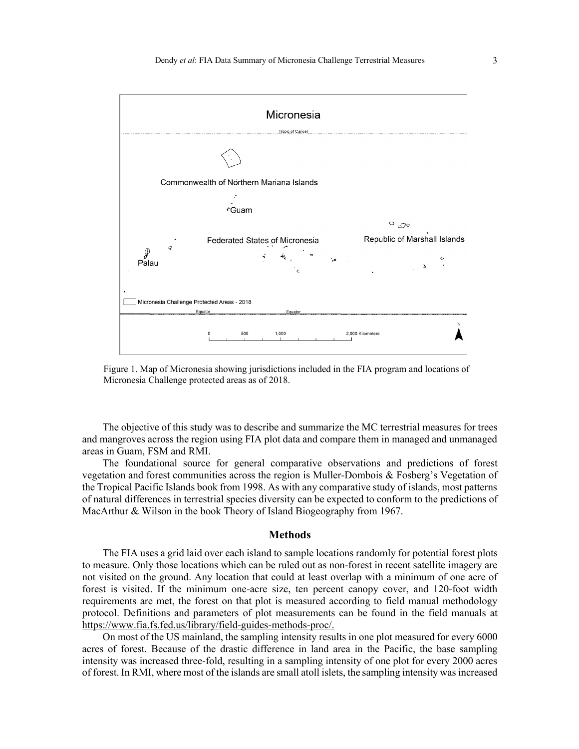

Figure 1. Map of Micronesia showing jurisdictions included in the FIA program and locations of Micronesia Challenge protected areas as of 2018.

The objective of this study was to describe and summarize the MC terrestrial measures for trees and mangroves across the region using FIA plot data and compare them in managed and unmanaged areas in Guam, FSM and RMI.

The foundational source for general comparative observations and predictions of forest vegetation and forest communities across the region is Muller-Dombois & Fosberg's Vegetation of the Tropical Pacific Islands book from 1998. As with any comparative study of islands, most patterns of natural differences in terrestrial species diversity can be expected to conform to the predictions of MacArthur & Wilson in the book Theory of Island Biogeography from 1967.

# **Methods**

The FIA uses a grid laid over each island to sample locations randomly for potential forest plots to measure. Only those locations which can be ruled out as non-forest in recent satellite imagery are not visited on the ground. Any location that could at least overlap with a minimum of one acre of forest is visited. If the minimum one-acre size, ten percent canopy cover, and 120-foot width requirements are met, the forest on that plot is measured according to field manual methodology protocol. Definitions and parameters of plot measurements can be found in the field manuals at https://www.fia.fs.fed.us/library/field-guides-methods-proc/.

On most of the US mainland, the sampling intensity results in one plot measured for every 6000 acres of forest. Because of the drastic difference in land area in the Pacific, the base sampling intensity was increased three-fold, resulting in a sampling intensity of one plot for every 2000 acres of forest. In RMI, where most of the islands are small atoll islets, the sampling intensity was increased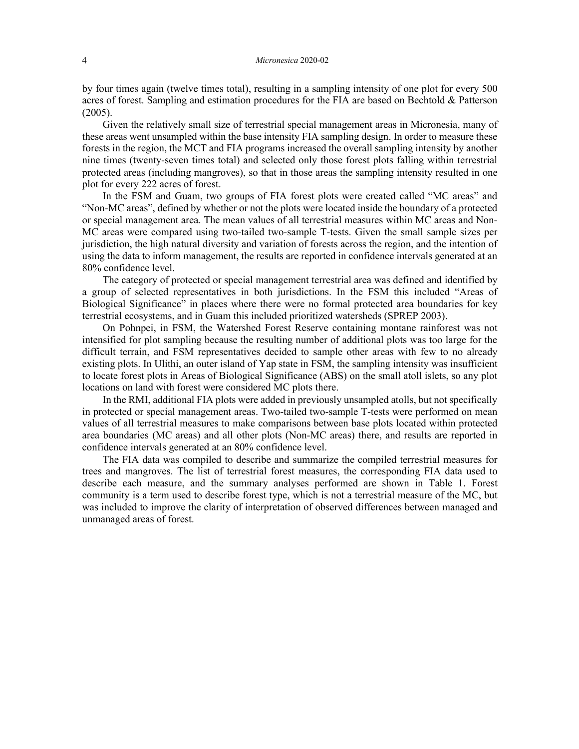by four times again (twelve times total), resulting in a sampling intensity of one plot for every 500 acres of forest. Sampling and estimation procedures for the FIA are based on Bechtold & Patterson (2005).

Given the relatively small size of terrestrial special management areas in Micronesia, many of these areas went unsampled within the base intensity FIA sampling design. In order to measure these forests in the region, the MCT and FIA programs increased the overall sampling intensity by another nine times (twenty-seven times total) and selected only those forest plots falling within terrestrial protected areas (including mangroves), so that in those areas the sampling intensity resulted in one plot for every 222 acres of forest.

In the FSM and Guam, two groups of FIA forest plots were created called "MC areas" and "Non-MC areas", defined by whether or not the plots were located inside the boundary of a protected or special management area. The mean values of all terrestrial measures within MC areas and Non-MC areas were compared using two-tailed two-sample T-tests. Given the small sample sizes per jurisdiction, the high natural diversity and variation of forests across the region, and the intention of using the data to inform management, the results are reported in confidence intervals generated at an 80% confidence level.

The category of protected or special management terrestrial area was defined and identified by a group of selected representatives in both jurisdictions. In the FSM this included "Areas of Biological Significance" in places where there were no formal protected area boundaries for key terrestrial ecosystems, and in Guam this included prioritized watersheds (SPREP 2003).

On Pohnpei, in FSM, the Watershed Forest Reserve containing montane rainforest was not intensified for plot sampling because the resulting number of additional plots was too large for the difficult terrain, and FSM representatives decided to sample other areas with few to no already existing plots. In Ulithi, an outer island of Yap state in FSM, the sampling intensity was insufficient to locate forest plots in Areas of Biological Significance (ABS) on the small atoll islets, so any plot locations on land with forest were considered MC plots there.

In the RMI, additional FIA plots were added in previously unsampled atolls, but not specifically in protected or special management areas. Two-tailed two-sample T-tests were performed on mean values of all terrestrial measures to make comparisons between base plots located within protected area boundaries (MC areas) and all other plots (Non-MC areas) there, and results are reported in confidence intervals generated at an 80% confidence level.

The FIA data was compiled to describe and summarize the compiled terrestrial measures for trees and mangroves. The list of terrestrial forest measures, the corresponding FIA data used to describe each measure, and the summary analyses performed are shown in Table 1. Forest community is a term used to describe forest type, which is not a terrestrial measure of the MC, but was included to improve the clarity of interpretation of observed differences between managed and unmanaged areas of forest.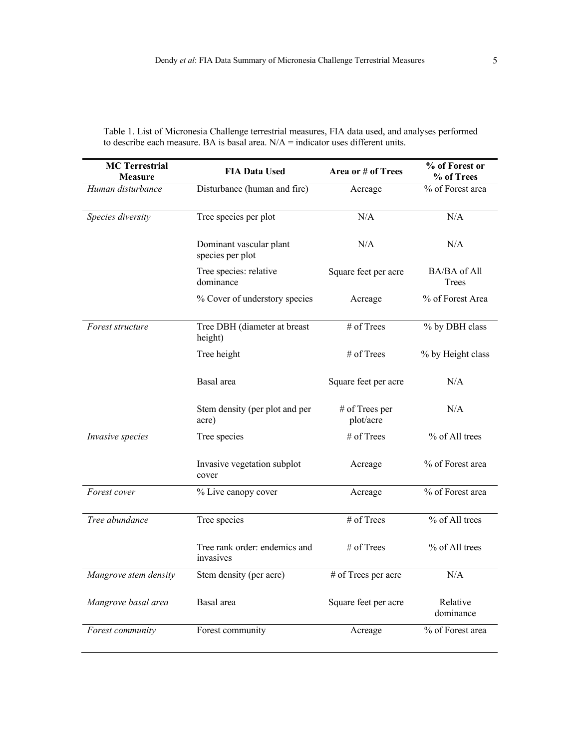| <b>MC Terrestrial</b><br><b>FIA Data Used</b><br><b>Measure</b> |                                             | Area or # of Trees          | % of Forest or<br>% of Trees |  |
|-----------------------------------------------------------------|---------------------------------------------|-----------------------------|------------------------------|--|
| Human disturbance                                               | Disturbance (human and fire)                | Acreage                     | % of Forest area             |  |
| Species diversity                                               | Tree species per plot                       | N/A                         | N/A                          |  |
|                                                                 | Dominant vascular plant<br>species per plot | N/A                         | N/A                          |  |
|                                                                 | Tree species: relative<br>dominance         | Square feet per acre        | BA/BA of All<br><b>Trees</b> |  |
|                                                                 | % Cover of understory species               | Acreage                     | % of Forest Area             |  |
| Forest structure                                                | Tree DBH (diameter at breast<br>height)     | # of Trees                  | % by DBH class               |  |
|                                                                 | Tree height                                 | $#$ of Trees                | % by Height class            |  |
|                                                                 | Basal area                                  | Square feet per acre        | N/A                          |  |
|                                                                 | Stem density (per plot and per<br>acre)     | # of Trees per<br>plot/acre | N/A                          |  |
| Invasive species                                                | Tree species                                | # of Trees                  | % of All trees               |  |
|                                                                 | Invasive vegetation subplot<br>cover        | Acreage                     | % of Forest area             |  |
| Forest cover                                                    | % Live canopy cover                         | Acreage                     | % of Forest area             |  |
| Tree abundance                                                  | Tree species                                | # of Trees                  | % of All trees               |  |
|                                                                 | Tree rank order: endemics and<br>invasives  | # of Trees                  | % of All trees               |  |
| Mangrove stem density                                           | Stem density (per acre)                     | # of Trees per acre         | N/A                          |  |
| Mangrove basal area                                             | Basal area                                  | Square feet per acre        | Relative<br>dominance        |  |
| Forest community                                                | Forest community                            | Acreage                     | % of Forest area             |  |

Table 1. List of Micronesia Challenge terrestrial measures, FIA data used, and analyses performed to describe each measure. BA is basal area.  $N/A =$  indicator uses different units.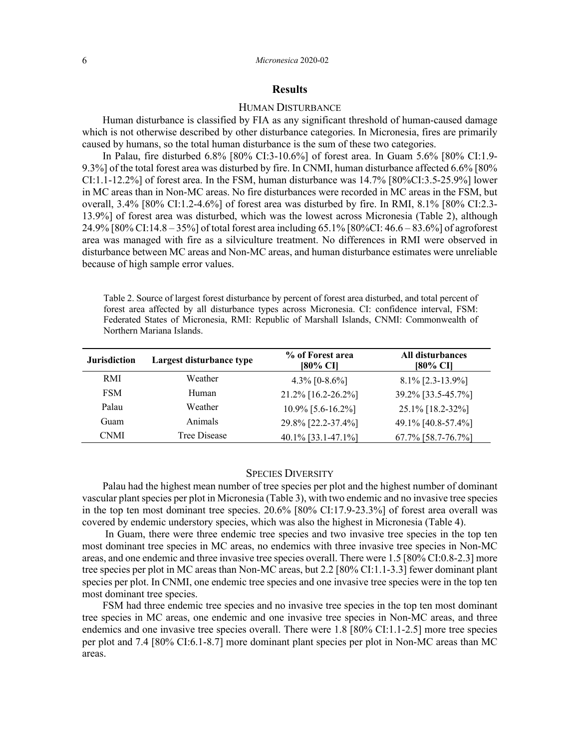# **Results**

## HUMAN DISTURBANCE

Human disturbance is classified by FIA as any significant threshold of human-caused damage which is not otherwise described by other disturbance categories. In Micronesia, fires are primarily caused by humans, so the total human disturbance is the sum of these two categories.

In Palau, fire disturbed 6.8% [80% CI:3-10.6%] of forest area. In Guam 5.6% [80% CI:1.9- 9.3%] of the total forest area was disturbed by fire. In CNMI, human disturbance affected 6.6% [80% CI:1.1-12.2%] of forest area. In the FSM, human disturbance was 14.7% [80%CI:3.5-25.9%] lower in MC areas than in Non-MC areas. No fire disturbances were recorded in MC areas in the FSM, but overall, 3.4% [80% CI:1.2-4.6%] of forest area was disturbed by fire. In RMI, 8.1% [80% CI:2.3- 13.9%] of forest area was disturbed, which was the lowest across Micronesia (Table 2), although 24.9% [80% CI:14.8 – 35%] of total forest area including 65.1% [80%CI: 46.6 – 83.6%] of agroforest area was managed with fire as a silviculture treatment. No differences in RMI were observed in disturbance between MC areas and Non-MC areas, and human disturbance estimates were unreliable because of high sample error values.

Table 2. Source of largest forest disturbance by percent of forest area disturbed, and total percent of forest area affected by all disturbance types across Micronesia. CI: confidence interval, FSM: Federated States of Micronesia, RMI: Republic of Marshall Islands, CNMI: Commonwealth of Northern Mariana Islands.

| <b>Jurisdiction</b> | Largest disturbance type | % of Forest area<br>[80% CI] | All disturbances<br>[80% CI] |
|---------------------|--------------------------|------------------------------|------------------------------|
| RMI                 | Weather                  | 4.3% $[0-8.6\%]$             | $8.1\%$ [2.3-13.9%]          |
| <b>FSM</b>          | Human                    | 21.2% [16.2-26.2%]           | 39.2% [33.5-45.7%]           |
| Palau               | Weather                  | 10.9% [5.6-16.2%]            | 25.1% [18.2-32%]             |
| Guam                | Animals                  | 29.8% [22.2-37.4%]           | 49.1% [40.8-57.4%]           |
| <b>CNMI</b>         | Tree Disease             | 40.1% [33.1-47.1%]           | 67.7% [58.7-76.7%]           |

# SPECIES DIVERSITY

Palau had the highest mean number of tree species per plot and the highest number of dominant vascular plant species per plot in Micronesia (Table 3), with two endemic and no invasive tree species in the top ten most dominant tree species. 20.6% [80% CI:17.9-23.3%] of forest area overall was covered by endemic understory species, which was also the highest in Micronesia (Table 4).

In Guam, there were three endemic tree species and two invasive tree species in the top ten most dominant tree species in MC areas, no endemics with three invasive tree species in Non-MC areas, and one endemic and three invasive tree species overall. There were 1.5 [80% CI:0.8-2.3] more tree species per plot in MC areas than Non-MC areas, but 2.2 [80% CI:1.1-3.3] fewer dominant plant species per plot. In CNMI, one endemic tree species and one invasive tree species were in the top ten most dominant tree species.

FSM had three endemic tree species and no invasive tree species in the top ten most dominant tree species in MC areas, one endemic and one invasive tree species in Non-MC areas, and three endemics and one invasive tree species overall. There were 1.8 [80% CI:1.1-2.5] more tree species per plot and 7.4 [80% CI:6.1-8.7] more dominant plant species per plot in Non-MC areas than MC areas.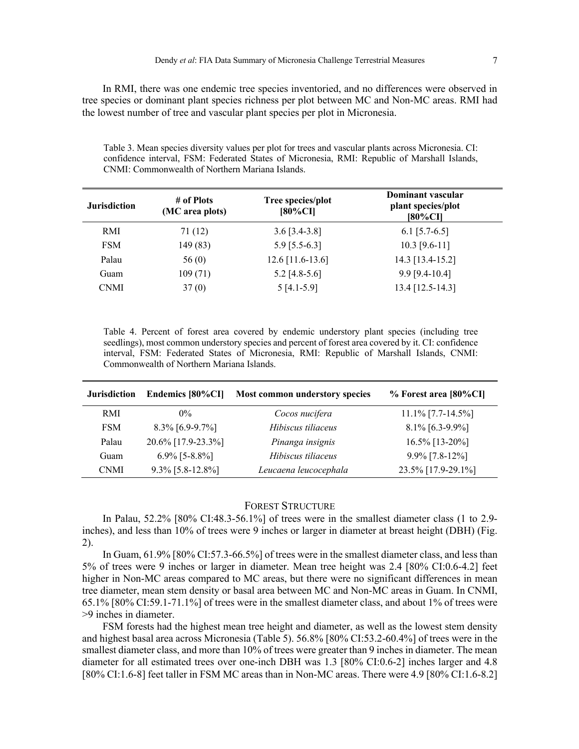In RMI, there was one endemic tree species inventoried, and no differences were observed in tree species or dominant plant species richness per plot between MC and Non-MC areas. RMI had the lowest number of tree and vascular plant species per plot in Micronesia.

Table 3. Mean species diversity values per plot for trees and vascular plants across Micronesia. CI: confidence interval, FSM: Federated States of Micronesia, RMI: Republic of Marshall Islands, CNMI: Commonwealth of Northern Mariana Islands.

| <b>Jurisdiction</b> | # of Plots<br>(MC area plots) | Tree species/plot<br>$[80\%CI]$ | Dominant vascular<br>plant species/plot<br>$[80\%$ CI] |
|---------------------|-------------------------------|---------------------------------|--------------------------------------------------------|
| RMI                 | 71(12)                        | $3.6$ [3.4-3.8]                 | $6.1$ [5.7-6.5]                                        |
| <b>FSM</b>          | 149 (83)                      | $5.9$ [5.5-6.3]                 | $10.3$ [9.6-11]                                        |
| Palau               | 56(0)                         | $12.6$ [11.6-13.6]              | 14.3 [13.4-15.2]                                       |
| Guam                | 109(71)                       | $5.2$ [4.8-5.6]                 | $9.9$ [9.4-10.4]                                       |
| <b>CNMI</b>         | 37(0)                         | $5[4.1-5.9]$                    | 13.4 [12.5-14.3]                                       |

Table 4. Percent of forest area covered by endemic understory plant species (including tree seedlings), most common understory species and percent of forest area covered by it. CI: confidence interval, FSM: Federated States of Micronesia, RMI: Republic of Marshall Islands, CNMI: Commonwealth of Northern Mariana Islands.

| <b>Jurisdiction</b> | Endemics [80%CI]    | Most common understory species | % Forest area [80%CI] |
|---------------------|---------------------|--------------------------------|-----------------------|
| RMI                 | $0\%$               | Cocos nucifera                 | $11.1\%$ [7.7-14.5%]  |
| <b>FSM</b>          | $8.3\%$ [6.9-9.7%]  | Hibiscus tiliaceus             | $8.1\%$ [6.3-9.9%]    |
| Palau               | 20.6% [17.9-23.3%]  | Pinanga insignis               | 16.5% [13-20%]        |
| Guam                | $6.9\%$ [5-8.8%]    | Hibiscus tiliaceus             | $9.9\%$ [7.8-12%]     |
| <b>CNMI</b>         | $9.3\%$ [5.8-12.8%] | Leucaena leucocephala          | 23.5% [17.9-29.1%]    |

# FOREST STRUCTURE

In Palau, 52.2% [80% CI:48.3-56.1%] of trees were in the smallest diameter class (1 to 2.9 inches), and less than 10% of trees were 9 inches or larger in diameter at breast height (DBH) (Fig. 2).

In Guam, 61.9% [80% CI:57.3-66.5%] of trees were in the smallest diameter class, and less than 5% of trees were 9 inches or larger in diameter. Mean tree height was 2.4 [80% CI:0.6-4.2] feet higher in Non-MC areas compared to MC areas, but there were no significant differences in mean tree diameter, mean stem density or basal area between MC and Non-MC areas in Guam. In CNMI, 65.1% [80% CI:59.1-71.1%] of trees were in the smallest diameter class, and about 1% of trees were >9 inches in diameter.

FSM forests had the highest mean tree height and diameter, as well as the lowest stem density and highest basal area across Micronesia (Table 5). 56.8% [80% CI:53.2-60.4%] of trees were in the smallest diameter class, and more than 10% of trees were greater than 9 inches in diameter. The mean diameter for all estimated trees over one-inch DBH was 1.3 [80% CI:0.6-2] inches larger and 4.8 [80% CI:1.6-8] feet taller in FSM MC areas than in Non-MC areas. There were 4.9 [80% CI:1.6-8.2]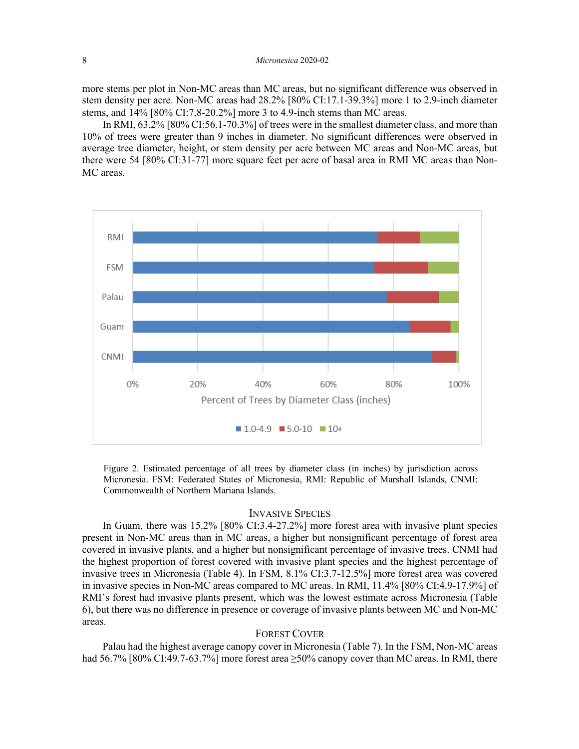more stems per plot in Non-MC areas than MC areas, but no significant difference was observed in stem density per acre. Non-MC areas had 28.2% [80% CI:17.1-39.3%] more 1 to 2.9-inch diameter stems, and 14% [80% CI:7.8-20.2%] more 3 to 4.9-inch stems than MC areas.

In RMI, 63.2% [80% CI:56.1-70.3%] of trees were in the smallest diameter class, and more than 10% of trees were greater than 9 inches in diameter. No significant differences were observed in average tree diameter, height, or stem density per acre between MC areas and Non-MC areas, but there were 54 [80% CI:31-77] more square feet per acre of basal area in RMI MC areas than Non-MC areas.



Figure 2. Estimated percentage of all trees by diameter class (in inches) by jurisdiction across Micronesia. FSM: Federated States of Micronesia, RMI: Republic of Marshall Islands, CNMI: Commonwealth of Northern Mariana Islands.

## INVASIVE SPECIES

In Guam, there was 15.2% [80% CI:3.4-27.2%] more forest area with invasive plant species present in Non-MC areas than in MC areas, a higher but nonsignificant percentage of forest area covered in invasive plants, and a higher but nonsignificant percentage of invasive trees. CNMI had the highest proportion of forest covered with invasive plant species and the highest percentage of invasive trees in Micronesia (Table 4). In FSM, 8.1% CI:3.7-12.5%] more forest area was covered in invasive species in Non-MC areas compared to MC areas. In RMI, 11.4% [80% CI:4.9-17.9%] of RMI's forest had invasive plants present, which was the lowest estimate across Micronesia (Table 6), but there was no difference in presence or coverage of invasive plants between MC and Non-MC areas.

# FOREST COVER

Palau had the highest average canopy cover in Micronesia (Table 7). In the FSM, Non-MC areas had 56.7% [80% CI:49.7-63.7%] more forest area ≥50% canopy cover than MC areas. In RMI, there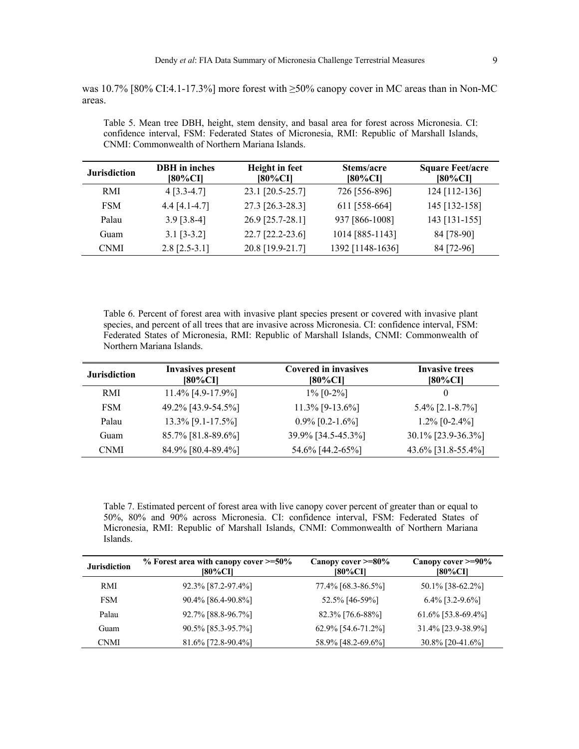was 10.7% [80% CI:4.1-17.3%] more forest with ≥50% canopy cover in MC areas than in Non-MC areas.

| <b>Jurisdiction</b> | <b>DBH</b> in inches<br>[80%CI] | Height in feet<br>[80%CI] | Stems/acre<br>[80%CI] | <b>Square Feet/acre</b><br>$[80\%$ CI] |
|---------------------|---------------------------------|---------------------------|-----------------------|----------------------------------------|
| RMI                 | $4$ [3.3-4.7]                   | 23.1 [20.5-25.7]          | 726 [556-896]         | 124 [112-136]                          |
| <b>FSM</b>          | $4.4$ [4.1-4.7]                 | 27.3 [26.3-28.3]          | 611 [558-664]         | 145 [132-158]                          |
| Palau               | $3.9$ [3.8-4]                   | 26.9 [25.7-28.1]          | 937 [866-1008]        | 143 [131-155]                          |
| Guam                | $3.1$ [3-3.2]                   | 22.7 [22.2-23.6]          | 1014 [885-1143]       | 84 [78-90]                             |
| <b>CNMI</b>         | $2.8$ [2.5-3.1]                 | 20.8 [19.9-21.7]          | 1392 [1148-1636]      | 84 [72-96]                             |

Table 5. Mean tree DBH, height, stem density, and basal area for forest across Micronesia. CI: confidence interval, FSM: Federated States of Micronesia, RMI: Republic of Marshall Islands, CNMI: Commonwealth of Northern Mariana Islands.

Table 6. Percent of forest area with invasive plant species present or covered with invasive plant species, and percent of all trees that are invasive across Micronesia. CI: confidence interval, FSM: Federated States of Micronesia, RMI: Republic of Marshall Islands, CNMI: Commonwealth of Northern Mariana Islands.

| <b>Jurisdiction</b> | <b>Invasives present</b><br>[80%CI] | <b>Covered in invasives</b><br>[80%CI] | <b>Invasive trees</b><br><b>[80%CI]</b> |
|---------------------|-------------------------------------|----------------------------------------|-----------------------------------------|
| RMI                 | 11.4% [4.9-17.9%]                   | $1\%$ [0-2%]                           | $_{0}$                                  |
| <b>FSM</b>          | 49.2% [43.9-54.5%]                  | 11.3% [9-13.6%]                        | 5.4% $[2.1 - 8.7\%]$                    |
| Palau               | 13.3% [9.1-17.5%]                   | $0.9\%$ [0.2-1.6%]                     | $1.2\%$ [0-2.4%]                        |
| Guam                | 85.7% [81.8-89.6%]                  | 39.9% [34.5-45.3%]                     | 30.1% [23.9-36.3%]                      |
| <b>CNMI</b>         | 84.9% [80.4-89.4%]                  | 54.6% [44.2-65%]                       | 43.6% [31.8-55.4%]                      |

Table 7. Estimated percent of forest area with live canopy cover percent of greater than or equal to 50%, 80% and 90% across Micronesia. CI: confidence interval, FSM: Federated States of Micronesia, RMI: Republic of Marshall Islands, CNMI: Commonwealth of Northern Mariana Islands.

| <b>Jurisdiction</b> | $\%$ Forest area with canopy cover $\geq 50\%$<br>[80%CI] | Canopy cover $\geq 80\%$<br><b>[80%CI]</b> | Canopy cover $\geq 90\%$<br>[80%CI] |
|---------------------|-----------------------------------------------------------|--------------------------------------------|-------------------------------------|
| RMI                 | 92.3% [87.2-97.4%]                                        | 77.4% [68.3-86.5%]                         | 50.1% [38-62.2%]                    |
| <b>FSM</b>          | 90.4% [86.4-90.8%]                                        | 52.5% [46-59%]                             | $6.4\%$ [3.2-9.6%]                  |
| Palau               | 92.7% [88.8-96.7%]                                        | 82.3% [76.6-88%]                           | $61.6\%$ [53.8-69.4%]               |
| Guam                | 90.5% [85.3-95.7%]                                        | $62.9\%$ [54.6-71.2%]                      | 31.4% [23.9-38.9%]                  |
| <b>CNMI</b>         | $81.6\%$ [72.8-90.4%]                                     | 58.9% [48.2-69.6%]                         | 30.8% [20-41.6%]                    |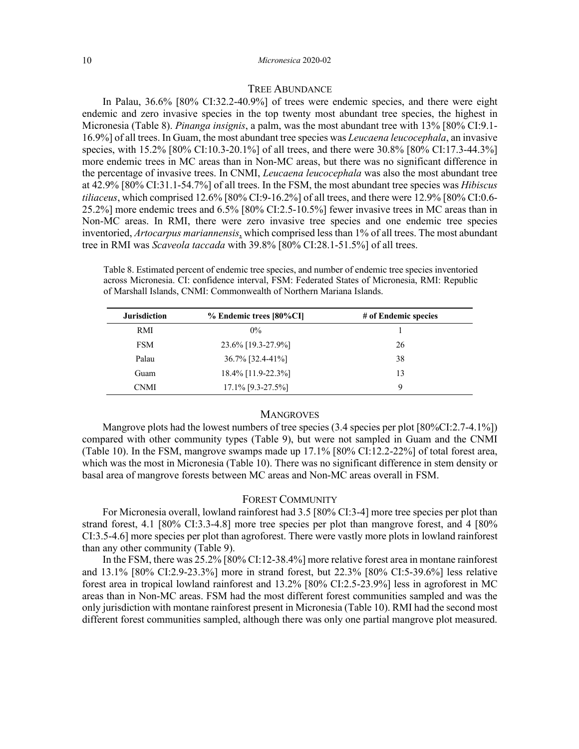# TREE ABUNDANCE

In Palau, 36.6% [80% CI:32.2-40.9%] of trees were endemic species, and there were eight endemic and zero invasive species in the top twenty most abundant tree species, the highest in Micronesia (Table 8). *Pinanga insignis*, a palm, was the most abundant tree with 13% [80% CI:9.1- 16.9%] of all trees. In Guam, the most abundant tree species was *Leucaena leucocephala*, an invasive species, with 15.2% [80% CI:10.3-20.1%] of all trees, and there were 30.8% [80% CI:17.3-44.3%] more endemic trees in MC areas than in Non-MC areas, but there was no significant difference in the percentage of invasive trees. In CNMI, *Leucaena leucocephala* was also the most abundant tree at 42.9% [80% CI:31.1-54.7%] of all trees. In the FSM, the most abundant tree species was *Hibiscus tiliaceus*, which comprised 12.6% [80% CI:9-16.2%] of all trees, and there were 12.9% [80% CI:0.6- 25.2%] more endemic trees and 6.5% [80% CI:2.5-10.5%] fewer invasive trees in MC areas than in Non-MC areas. In RMI, there were zero invasive tree species and one endemic tree species inventoried, *Artocarpus mariannensis*, which comprised less than 1% of all trees. The most abundant tree in RMI was *Scaveola taccada* with 39.8% [80% CI:28.1-51.5%] of all trees.

Table 8. Estimated percent of endemic tree species, and number of endemic tree species inventoried across Micronesia. CI: confidence interval, FSM: Federated States of Micronesia, RMI: Republic of Marshall Islands, CNMI: Commonwealth of Northern Mariana Islands.

| <b>Jurisdiction</b> | % Endemic trees [80%CI] | # of Endemic species |
|---------------------|-------------------------|----------------------|
| RMI                 | $0\%$                   |                      |
| <b>FSM</b>          | 23.6% [19.3-27.9%]      | 26                   |
| Palau               | 36.7% [32.4-41%]        | 38                   |
| Guam                | 18.4% [11.9-22.3%]      | 13                   |
| <b>CNMI</b>         | 17.1% [9.3-27.5%]       | 9                    |
|                     |                         |                      |

### **MANGROVES**

Mangrove plots had the lowest numbers of tree species (3.4 species per plot [80%CI:2.7-4.1%]) compared with other community types (Table 9), but were not sampled in Guam and the CNMI (Table 10). In the FSM, mangrove swamps made up 17.1% [80% CI:12.2-22%] of total forest area, which was the most in Micronesia (Table 10). There was no significant difference in stem density or basal area of mangrove forests between MC areas and Non-MC areas overall in FSM.

# FOREST COMMUNITY

For Micronesia overall, lowland rainforest had 3.5 [80% CI:3-4] more tree species per plot than strand forest, 4.1 [80% CI:3.3-4.8] more tree species per plot than mangrove forest, and 4 [80% CI:3.5-4.6] more species per plot than agroforest. There were vastly more plots in lowland rainforest than any other community (Table 9).

In the FSM, there was 25.2% [80% CI:12-38.4%] more relative forest area in montane rainforest and 13.1% [80% CI:2.9-23.3%] more in strand forest, but 22.3% [80% CI:5-39.6%] less relative forest area in tropical lowland rainforest and 13.2% [80% CI:2.5-23.9%] less in agroforest in MC areas than in Non-MC areas. FSM had the most different forest communities sampled and was the only jurisdiction with montane rainforest present in Micronesia (Table 10). RMI had the second most different forest communities sampled, although there was only one partial mangrove plot measured.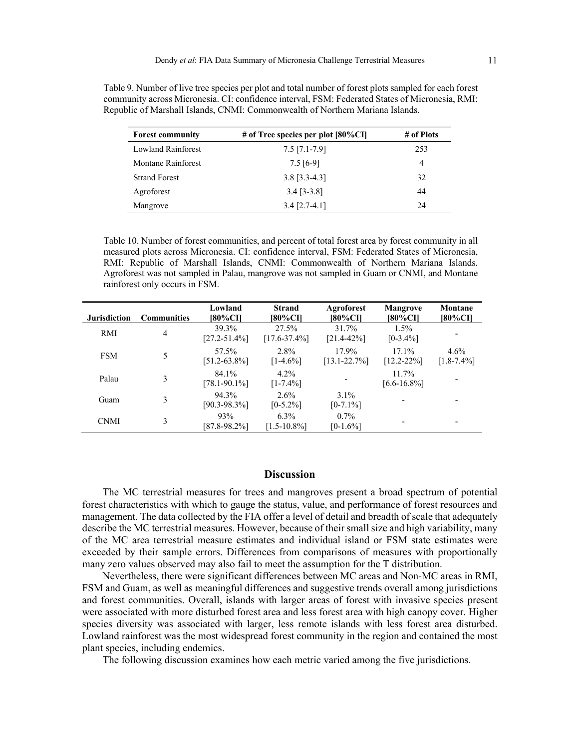| <b>Forest community</b>   | # of Tree species per plot $[80\%$ CI] | # of Plots |
|---------------------------|----------------------------------------|------------|
| <b>Lowland Rainforest</b> | $7.5$ [7.1-7.9]                        | 253        |
| Montane Rainforest        | $7.5$ [6-9]                            | 4          |
| <b>Strand Forest</b>      | $3.8$ [3.3-4.3]                        | 32         |
| Agroforest                | $3.4$ [3-3.8]                          | 44         |
| Mangrove                  | $3.4$ [2.7-4.1]                        | 24         |

Table 9. Number of live tree species per plot and total number of forest plots sampled for each forest community across Micronesia. CI: confidence interval, FSM: Federated States of Micronesia, RMI: Republic of Marshall Islands, CNMI: Commonwealth of Northern Mariana Islands.

Table 10. Number of forest communities, and percent of total forest area by forest community in all measured plots across Micronesia. CI: confidence interval, FSM: Federated States of Micronesia, RMI: Republic of Marshall Islands, CNMI: Commonwealth of Northern Mariana Islands. Agroforest was not sampled in Palau, mangrove was not sampled in Guam or CNMI, and Montane rainforest only occurs in FSM.

| <b>Jurisdiction</b> | <b>Communities</b> | Lowland<br>180%CI1         | <b>Strand</b><br>[80%CI]    | Agroforest<br>[80%CI]      | <b>Mangrove</b><br>[80%CI]   | Montane<br>[80%CI]         |
|---------------------|--------------------|----------------------------|-----------------------------|----------------------------|------------------------------|----------------------------|
| RMI                 | 4                  | 39.3%<br>$[27.2 - 51.4\%]$ | 27.5%<br>$[17.6 - 37.4\%]$  | 31.7%<br>$[21.4 - 42\%]$   | $1.5\%$<br>$[0-3.4\%]$       |                            |
| <b>FSM</b>          |                    | 57.5%<br>$[51.2 - 63.8\%]$ | 2.8%<br>$[1-4.6\%]$         | 17.9%<br>$[13.1 - 22.7\%]$ | $17.1\%$<br>$[12.2 - 22\%]$  | $4.6\%$<br>$[1.8 - 7.4\%]$ |
| Palau               | 3                  | 84.1%<br>$[78.1 - 90.1\%]$ | $4.2\%$<br>$[1 - 7.4\%]$    |                            | $11.7\%$<br>$[6.6 - 16.8\%]$ |                            |
| Guam                | 3                  | 94.3%<br>$[90.3 - 98.3\%]$ | $2.6\%$<br>$[0-5.2\%]$      | $3.1\%$<br>$[0-7.1\%]$     |                              |                            |
| <b>CNMI</b>         | 3                  | 93%<br>$[87.8 - 98.2\%]$   | $6.3\%$<br>$[1.5 - 10.8\%]$ | $0.7\%$<br>$[0-1.6\%]$     |                              |                            |

# **Discussion**

The MC terrestrial measures for trees and mangroves present a broad spectrum of potential forest characteristics with which to gauge the status, value, and performance of forest resources and management. The data collected by the FIA offer a level of detail and breadth of scale that adequately describe the MC terrestrial measures. However, because of their small size and high variability, many of the MC area terrestrial measure estimates and individual island or FSM state estimates were exceeded by their sample errors. Differences from comparisons of measures with proportionally many zero values observed may also fail to meet the assumption for the T distribution.

Nevertheless, there were significant differences between MC areas and Non-MC areas in RMI, FSM and Guam, as well as meaningful differences and suggestive trends overall among jurisdictions and forest communities. Overall, islands with larger areas of forest with invasive species present were associated with more disturbed forest area and less forest area with high canopy cover. Higher species diversity was associated with larger, less remote islands with less forest area disturbed. Lowland rainforest was the most widespread forest community in the region and contained the most plant species, including endemics.

The following discussion examines how each metric varied among the five jurisdictions.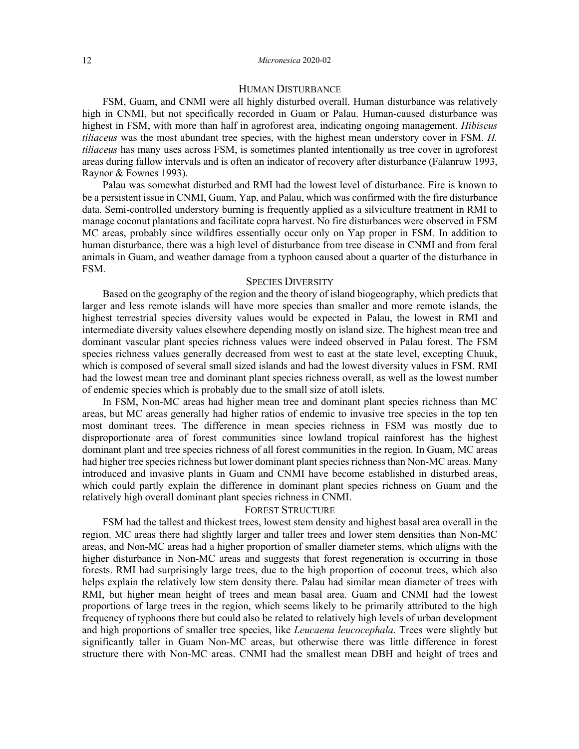# HUMAN DISTURBANCE

FSM, Guam, and CNMI were all highly disturbed overall. Human disturbance was relatively high in CNMI, but not specifically recorded in Guam or Palau. Human-caused disturbance was highest in FSM, with more than half in agroforest area, indicating ongoing management. *Hibiscus tiliaceus* was the most abundant tree species, with the highest mean understory cover in FSM. *H. tiliaceus* has many uses across FSM, is sometimes planted intentionally as tree cover in agroforest areas during fallow intervals and is often an indicator of recovery after disturbance (Falanruw 1993, Raynor & Fownes 1993).

Palau was somewhat disturbed and RMI had the lowest level of disturbance. Fire is known to be a persistent issue in CNMI, Guam, Yap, and Palau, which was confirmed with the fire disturbance data. Semi-controlled understory burning is frequently applied as a silviculture treatment in RMI to manage coconut plantations and facilitate copra harvest. No fire disturbances were observed in FSM MC areas, probably since wildfires essentially occur only on Yap proper in FSM. In addition to human disturbance, there was a high level of disturbance from tree disease in CNMI and from feral animals in Guam, and weather damage from a typhoon caused about a quarter of the disturbance in FSM.

# SPECIES DIVERSITY

Based on the geography of the region and the theory of island biogeography, which predicts that larger and less remote islands will have more species than smaller and more remote islands, the highest terrestrial species diversity values would be expected in Palau, the lowest in RMI and intermediate diversity values elsewhere depending mostly on island size. The highest mean tree and dominant vascular plant species richness values were indeed observed in Palau forest. The FSM species richness values generally decreased from west to east at the state level, excepting Chuuk, which is composed of several small sized islands and had the lowest diversity values in FSM. RMI had the lowest mean tree and dominant plant species richness overall, as well as the lowest number of endemic species which is probably due to the small size of atoll islets.

In FSM, Non-MC areas had higher mean tree and dominant plant species richness than MC areas, but MC areas generally had higher ratios of endemic to invasive tree species in the top ten most dominant trees. The difference in mean species richness in FSM was mostly due to disproportionate area of forest communities since lowland tropical rainforest has the highest dominant plant and tree species richness of all forest communities in the region. In Guam, MC areas had higher tree species richness but lower dominant plant species richness than Non-MC areas. Many introduced and invasive plants in Guam and CNMI have become established in disturbed areas, which could partly explain the difference in dominant plant species richness on Guam and the relatively high overall dominant plant species richness in CNMI.

# FOREST STRUCTURE

FSM had the tallest and thickest trees, lowest stem density and highest basal area overall in the region. MC areas there had slightly larger and taller trees and lower stem densities than Non-MC areas, and Non-MC areas had a higher proportion of smaller diameter stems, which aligns with the higher disturbance in Non-MC areas and suggests that forest regeneration is occurring in those forests. RMI had surprisingly large trees, due to the high proportion of coconut trees, which also helps explain the relatively low stem density there. Palau had similar mean diameter of trees with RMI, but higher mean height of trees and mean basal area. Guam and CNMI had the lowest proportions of large trees in the region, which seems likely to be primarily attributed to the high frequency of typhoons there but could also be related to relatively high levels of urban development and high proportions of smaller tree species, like *Leucaena leucocephala*. Trees were slightly but significantly taller in Guam Non-MC areas, but otherwise there was little difference in forest structure there with Non-MC areas. CNMI had the smallest mean DBH and height of trees and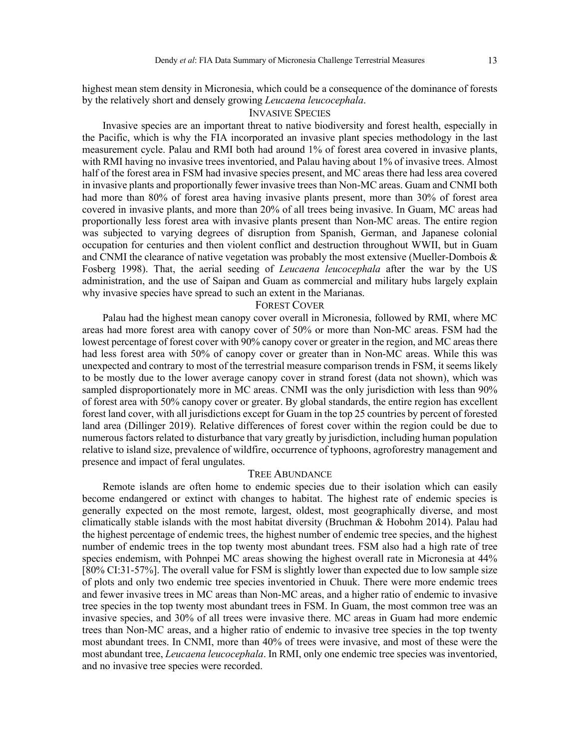highest mean stem density in Micronesia, which could be a consequence of the dominance of forests by the relatively short and densely growing *Leucaena leucocephala*.

# INVASIVE SPECIES

Invasive species are an important threat to native biodiversity and forest health, especially in the Pacific, which is why the FIA incorporated an invasive plant species methodology in the last measurement cycle. Palau and RMI both had around 1% of forest area covered in invasive plants, with RMI having no invasive trees inventoried, and Palau having about 1% of invasive trees. Almost half of the forest area in FSM had invasive species present, and MC areas there had less area covered in invasive plants and proportionally fewer invasive trees than Non-MC areas. Guam and CNMI both had more than 80% of forest area having invasive plants present, more than 30% of forest area covered in invasive plants, and more than 20% of all trees being invasive. In Guam, MC areas had proportionally less forest area with invasive plants present than Non-MC areas. The entire region was subjected to varying degrees of disruption from Spanish, German, and Japanese colonial occupation for centuries and then violent conflict and destruction throughout WWII, but in Guam and CNMI the clearance of native vegetation was probably the most extensive (Mueller-Dombois & Fosberg 1998). That, the aerial seeding of *Leucaena leucocephala* after the war by the US administration, and the use of Saipan and Guam as commercial and military hubs largely explain why invasive species have spread to such an extent in the Marianas.

### FOREST COVER

Palau had the highest mean canopy cover overall in Micronesia, followed by RMI, where MC areas had more forest area with canopy cover of 50% or more than Non-MC areas. FSM had the lowest percentage of forest cover with 90% canopy cover or greater in the region, and MC areas there had less forest area with 50% of canopy cover or greater than in Non-MC areas. While this was unexpected and contrary to most of the terrestrial measure comparison trends in FSM, it seems likely to be mostly due to the lower average canopy cover in strand forest (data not shown), which was sampled disproportionately more in MC areas. CNMI was the only jurisdiction with less than 90% of forest area with 50% canopy cover or greater. By global standards, the entire region has excellent forest land cover, with all jurisdictions except for Guam in the top 25 countries by percent of forested land area (Dillinger 2019). Relative differences of forest cover within the region could be due to numerous factors related to disturbance that vary greatly by jurisdiction, including human population relative to island size, prevalence of wildfire, occurrence of typhoons, agroforestry management and presence and impact of feral ungulates.

# TREE ABUNDANCE

Remote islands are often home to endemic species due to their isolation which can easily become endangered or extinct with changes to habitat. The highest rate of endemic species is generally expected on the most remote, largest, oldest, most geographically diverse, and most climatically stable islands with the most habitat diversity (Bruchman & Hobohm 2014). Palau had the highest percentage of endemic trees, the highest number of endemic tree species, and the highest number of endemic trees in the top twenty most abundant trees. FSM also had a high rate of tree species endemism, with Pohnpei MC areas showing the highest overall rate in Micronesia at 44% [80% CI:31-57%]. The overall value for FSM is slightly lower than expected due to low sample size of plots and only two endemic tree species inventoried in Chuuk. There were more endemic trees and fewer invasive trees in MC areas than Non-MC areas, and a higher ratio of endemic to invasive tree species in the top twenty most abundant trees in FSM. In Guam, the most common tree was an invasive species, and 30% of all trees were invasive there. MC areas in Guam had more endemic trees than Non-MC areas, and a higher ratio of endemic to invasive tree species in the top twenty most abundant trees. In CNMI, more than 40% of trees were invasive, and most of these were the most abundant tree, *Leucaena leucocephala*. In RMI, only one endemic tree species was inventoried, and no invasive tree species were recorded.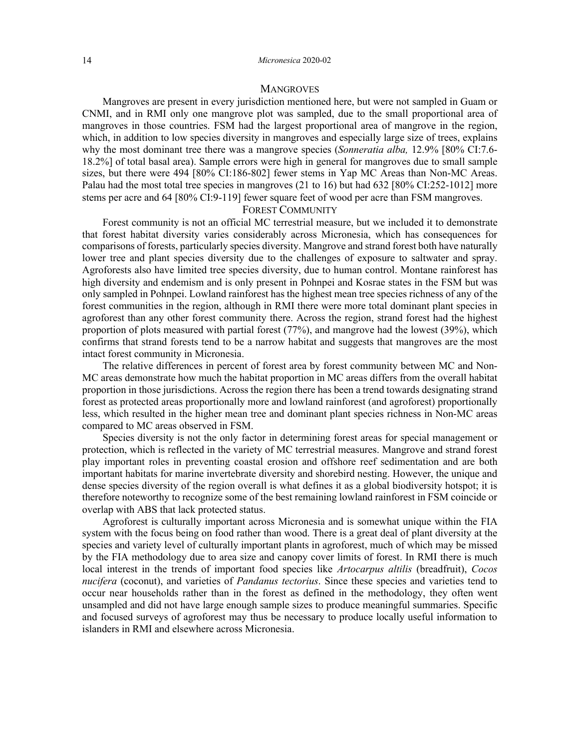# **MANGROVES**

Mangroves are present in every jurisdiction mentioned here, but were not sampled in Guam or CNMI, and in RMI only one mangrove plot was sampled, due to the small proportional area of mangroves in those countries. FSM had the largest proportional area of mangrove in the region, which, in addition to low species diversity in mangroves and especially large size of trees, explains why the most dominant tree there was a mangrove species (*Sonneratia alba,* 12.9% [80% CI:7.6- 18.2%] of total basal area). Sample errors were high in general for mangroves due to small sample sizes, but there were 494 [80% CI:186-802] fewer stems in Yap MC Areas than Non-MC Areas. Palau had the most total tree species in mangroves (21 to 16) but had 632 [80% CI:252-1012] more stems per acre and 64 [80% CI:9-119] fewer square feet of wood per acre than FSM mangroves.

### FOREST COMMUNITY

Forest community is not an official MC terrestrial measure, but we included it to demonstrate that forest habitat diversity varies considerably across Micronesia, which has consequences for comparisons of forests, particularly species diversity. Mangrove and strand forest both have naturally lower tree and plant species diversity due to the challenges of exposure to saltwater and spray. Agroforests also have limited tree species diversity, due to human control. Montane rainforest has high diversity and endemism and is only present in Pohnpei and Kosrae states in the FSM but was only sampled in Pohnpei. Lowland rainforest has the highest mean tree species richness of any of the forest communities in the region, although in RMI there were more total dominant plant species in agroforest than any other forest community there. Across the region, strand forest had the highest proportion of plots measured with partial forest (77%), and mangrove had the lowest (39%), which confirms that strand forests tend to be a narrow habitat and suggests that mangroves are the most intact forest community in Micronesia.

The relative differences in percent of forest area by forest community between MC and Non-MC areas demonstrate how much the habitat proportion in MC areas differs from the overall habitat proportion in those jurisdictions. Across the region there has been a trend towards designating strand forest as protected areas proportionally more and lowland rainforest (and agroforest) proportionally less, which resulted in the higher mean tree and dominant plant species richness in Non-MC areas compared to MC areas observed in FSM.

Species diversity is not the only factor in determining forest areas for special management or protection, which is reflected in the variety of MC terrestrial measures. Mangrove and strand forest play important roles in preventing coastal erosion and offshore reef sedimentation and are both important habitats for marine invertebrate diversity and shorebird nesting. However, the unique and dense species diversity of the region overall is what defines it as a global biodiversity hotspot; it is therefore noteworthy to recognize some of the best remaining lowland rainforest in FSM coincide or overlap with ABS that lack protected status.

Agroforest is culturally important across Micronesia and is somewhat unique within the FIA system with the focus being on food rather than wood. There is a great deal of plant diversity at the species and variety level of culturally important plants in agroforest, much of which may be missed by the FIA methodology due to area size and canopy cover limits of forest. In RMI there is much local interest in the trends of important food species like *Artocarpus altilis* (breadfruit), *Cocos nucifera* (coconut), and varieties of *Pandanus tectorius*. Since these species and varieties tend to occur near households rather than in the forest as defined in the methodology, they often went unsampled and did not have large enough sample sizes to produce meaningful summaries. Specific and focused surveys of agroforest may thus be necessary to produce locally useful information to islanders in RMI and elsewhere across Micronesia.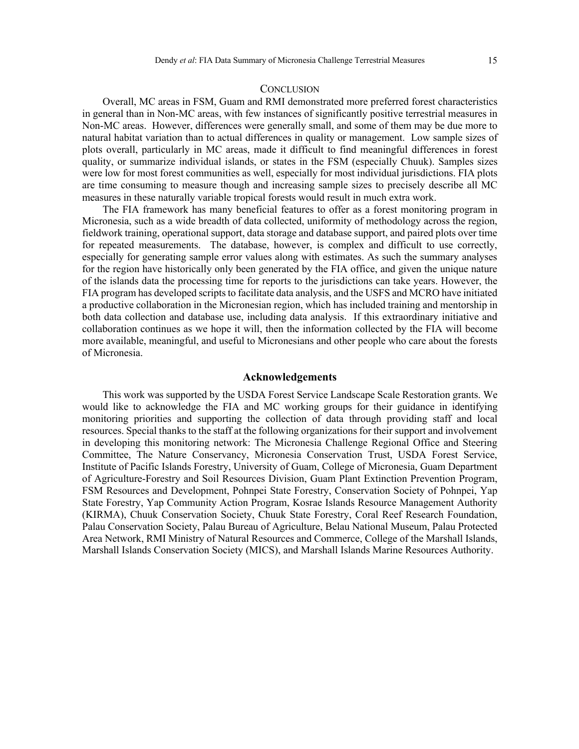## **CONCLUSION**

Overall, MC areas in FSM, Guam and RMI demonstrated more preferred forest characteristics in general than in Non-MC areas, with few instances of significantly positive terrestrial measures in Non-MC areas. However, differences were generally small, and some of them may be due more to natural habitat variation than to actual differences in quality or management. Low sample sizes of plots overall, particularly in MC areas, made it difficult to find meaningful differences in forest quality, or summarize individual islands, or states in the FSM (especially Chuuk). Samples sizes were low for most forest communities as well, especially for most individual jurisdictions. FIA plots are time consuming to measure though and increasing sample sizes to precisely describe all MC measures in these naturally variable tropical forests would result in much extra work.

The FIA framework has many beneficial features to offer as a forest monitoring program in Micronesia, such as a wide breadth of data collected, uniformity of methodology across the region, fieldwork training, operational support, data storage and database support, and paired plots over time for repeated measurements. The database, however, is complex and difficult to use correctly, especially for generating sample error values along with estimates. As such the summary analyses for the region have historically only been generated by the FIA office, and given the unique nature of the islands data the processing time for reports to the jurisdictions can take years. However, the FIA program has developed scripts to facilitate data analysis, and the USFS and MCRO have initiated a productive collaboration in the Micronesian region, which has included training and mentorship in both data collection and database use, including data analysis. If this extraordinary initiative and collaboration continues as we hope it will, then the information collected by the FIA will become more available, meaningful, and useful to Micronesians and other people who care about the forests of Micronesia.

# **Acknowledgements**

This work was supported by the USDA Forest Service Landscape Scale Restoration grants. We would like to acknowledge the FIA and MC working groups for their guidance in identifying monitoring priorities and supporting the collection of data through providing staff and local resources. Special thanks to the staff at the following organizations for their support and involvement in developing this monitoring network: The Micronesia Challenge Regional Office and Steering Committee, The Nature Conservancy, Micronesia Conservation Trust, USDA Forest Service, Institute of Pacific Islands Forestry, University of Guam, College of Micronesia, Guam Department of Agriculture-Forestry and Soil Resources Division, Guam Plant Extinction Prevention Program, FSM Resources and Development, Pohnpei State Forestry, Conservation Society of Pohnpei, Yap State Forestry, Yap Community Action Program, Kosrae Islands Resource Management Authority (KIRMA), Chuuk Conservation Society, Chuuk State Forestry, Coral Reef Research Foundation, Palau Conservation Society, Palau Bureau of Agriculture, Belau National Museum, Palau Protected Area Network, RMI Ministry of Natural Resources and Commerce, College of the Marshall Islands, Marshall Islands Conservation Society (MICS), and Marshall Islands Marine Resources Authority.